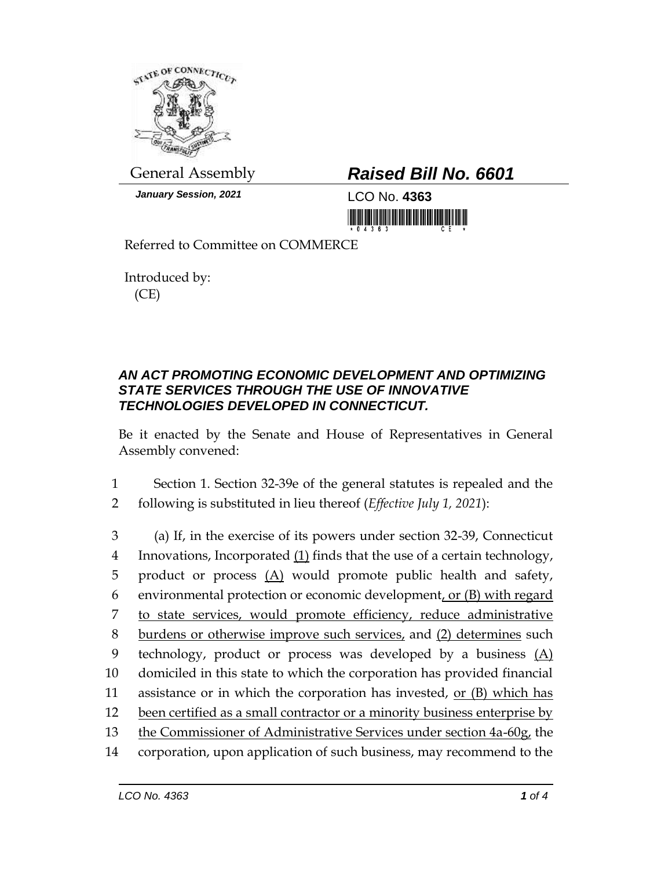

*January Session, 2021* LCO No. **4363**

## General Assembly *Raised Bill No. 6601*

<u> 1999 - Andrew Maria Maria Maria Maria Maria Maria Maria Maria Maria Maria Maria Maria Maria Maria Maria Mari</u>

Referred to Committee on COMMERCE

Introduced by: (CE)

## *AN ACT PROMOTING ECONOMIC DEVELOPMENT AND OPTIMIZING STATE SERVICES THROUGH THE USE OF INNOVATIVE TECHNOLOGIES DEVELOPED IN CONNECTICUT.*

Be it enacted by the Senate and House of Representatives in General Assembly convened:

1 Section 1. Section 32-39e of the general statutes is repealed and the 2 following is substituted in lieu thereof (*Effective July 1, 2021*):

 (a) If, in the exercise of its powers under section 32-39, Connecticut Innovations, Incorporated (1) finds that the use of a certain technology, product or process (A) would promote public health and safety, 6 environmental protection or economic development, or  $(B)$  with regard to state services, would promote efficiency, reduce administrative burdens or otherwise improve such services, and (2) determines such 9 technology, product or process was developed by a business (A) domiciled in this state to which the corporation has provided financial 11 assistance or in which the corporation has invested, or  $(B)$  which has been certified as a small contractor or a minority business enterprise by 13 the Commissioner of Administrative Services under section 4a-60g, the corporation, upon application of such business, may recommend to the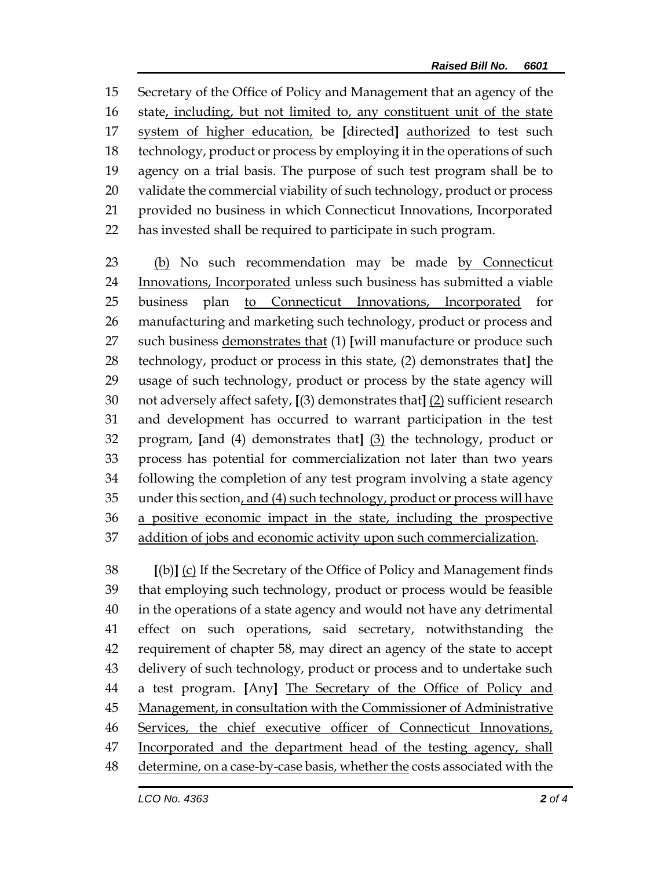Secretary of the Office of Policy and Management that an agency of the state, including, but not limited to, any constituent unit of the state system of higher education, be **[**directed**]** authorized to test such technology, product or process by employing it in the operations of such agency on a trial basis. The purpose of such test program shall be to validate the commercial viability of such technology, product or process provided no business in which Connecticut Innovations, Incorporated has invested shall be required to participate in such program.

 (b) No such recommendation may be made by Connecticut Innovations, Incorporated unless such business has submitted a viable business plan to Connecticut Innovations, Incorporated for manufacturing and marketing such technology, product or process and such business demonstrates that (1) **[**will manufacture or produce such technology, product or process in this state, (2) demonstrates that**]** the usage of such technology, product or process by the state agency will not adversely affect safety, **[**(3) demonstrates that**]** (2) sufficient research and development has occurred to warrant participation in the test program, **[**and (4) demonstrates that**]** (3) the technology, product or process has potential for commercialization not later than two years following the completion of any test program involving a state agency 35 under this section, and (4) such technology, product or process will have 36 a positive economic impact in the state, including the prospective addition of jobs and economic activity upon such commercialization.

 **[**(b)**]** (c) If the Secretary of the Office of Policy and Management finds that employing such technology, product or process would be feasible in the operations of a state agency and would not have any detrimental effect on such operations, said secretary, notwithstanding the requirement of chapter 58, may direct an agency of the state to accept delivery of such technology, product or process and to undertake such a test program. **[**Any**]** The Secretary of the Office of Policy and Management, in consultation with the Commissioner of Administrative Services, the chief executive officer of Connecticut Innovations, 47 Incorporated and the department head of the testing agency, shall determine, on a case-by-case basis, whether the costs associated with the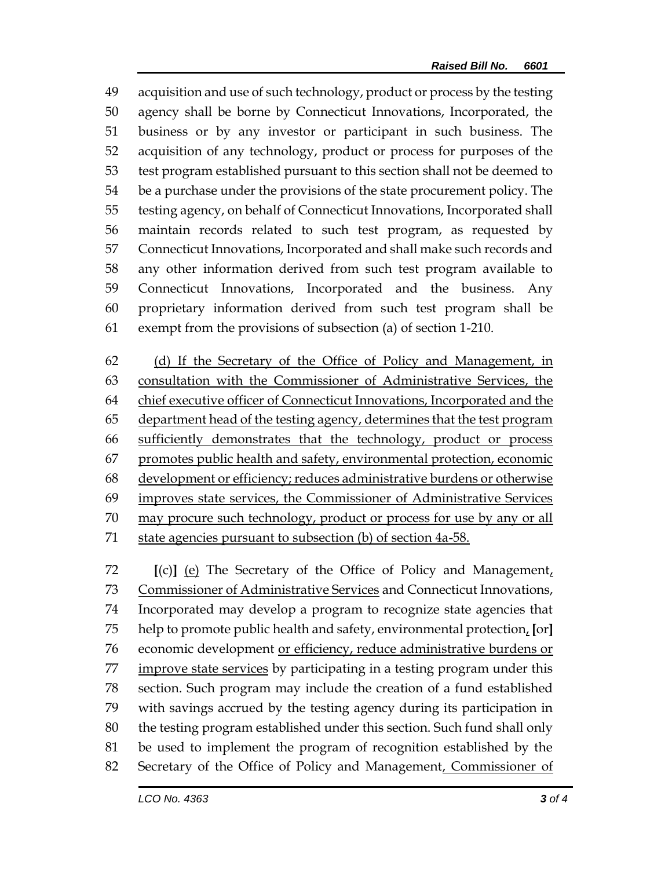acquisition and use of such technology, product or process by the testing agency shall be borne by Connecticut Innovations, Incorporated, the business or by any investor or participant in such business. The acquisition of any technology, product or process for purposes of the test program established pursuant to this section shall not be deemed to be a purchase under the provisions of the state procurement policy. The testing agency, on behalf of Connecticut Innovations, Incorporated shall maintain records related to such test program, as requested by Connecticut Innovations, Incorporated and shall make such records and any other information derived from such test program available to Connecticut Innovations, Incorporated and the business. Any proprietary information derived from such test program shall be exempt from the provisions of subsection (a) of section 1-210.

 (d) If the Secretary of the Office of Policy and Management, in consultation with the Commissioner of Administrative Services, the chief executive officer of Connecticut Innovations, Incorporated and the department head of the testing agency, determines that the test program sufficiently demonstrates that the technology, product or process promotes public health and safety, environmental protection, economic development or efficiency; reduces administrative burdens or otherwise improves state services, the Commissioner of Administrative Services may procure such technology, product or process for use by any or all state agencies pursuant to subsection (b) of section 4a-58.

 **[**(c)**]** (e) The Secretary of the Office of Policy and Management, 73 Commissioner of Administrative Services and Connecticut Innovations, Incorporated may develop a program to recognize state agencies that help to promote public health and safety, environmental protection, **[**or**]** economic development or efficiency, reduce administrative burdens or 77 improve state services by participating in a testing program under this section. Such program may include the creation of a fund established with savings accrued by the testing agency during its participation in the testing program established under this section. Such fund shall only be used to implement the program of recognition established by the Secretary of the Office of Policy and Management, Commissioner of